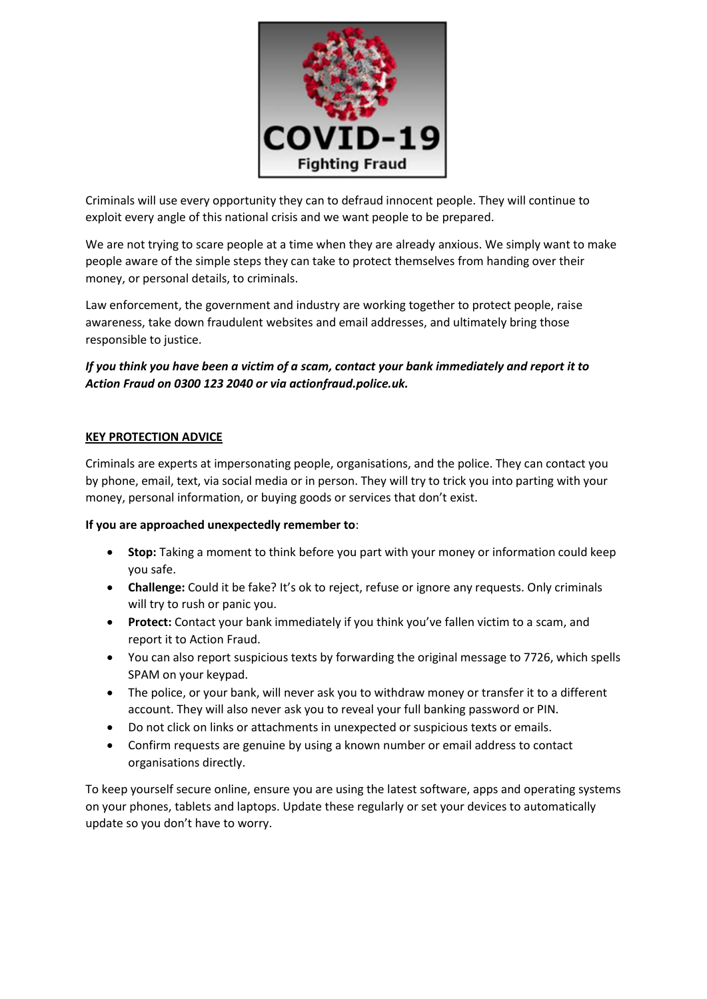

Criminals will use every opportunity they can to defraud innocent people. They will continue to exploit every angle of this national crisis and we want people to be prepared.

We are not trying to scare people at a time when they are already anxious. We simply want to make people aware of the simple steps they can take to protect themselves from handing over their money, or personal details, to criminals.

Law enforcement, the government and industry are working together to protect people, raise awareness, take down fraudulent websites and email addresses, and ultimately bring those responsible to justice.

*If you think you have been a victim of a scam, contact your bank immediately and report it to Action Fraud on 0300 123 2040 or via actionfraud.police.uk.*

# **KEY PROTECTION ADVICE**

Criminals are experts at impersonating people, organisations, and the police. They can contact you by phone, email, text, via social media or in person. They will try to trick you into parting with your money, personal information, or buying goods or services that don't exist.

## **If you are approached unexpectedly remember to**:

- **Stop:** Taking a moment to think before you part with your money or information could keep you safe.
- **Challenge:** Could it be fake? It's ok to reject, refuse or ignore any requests. Only criminals will try to rush or panic you.
- **Protect:** Contact your bank immediately if you think you've fallen victim to a scam, and report it to Action Fraud.
- You can also report suspicious texts by forwarding the original message to 7726, which spells SPAM on your keypad.
- The police, or your bank, will never ask you to withdraw money or transfer it to a different account. They will also never ask you to reveal your full banking password or PIN.
- Do not click on links or attachments in unexpected or suspicious texts or emails.
- Confirm requests are genuine by using a known number or email address to contact organisations directly.

To keep yourself secure online, ensure you are using the latest software, apps and operating systems on your phones, tablets and laptops. Update these regularly or set your devices to automatically update so you don't have to worry.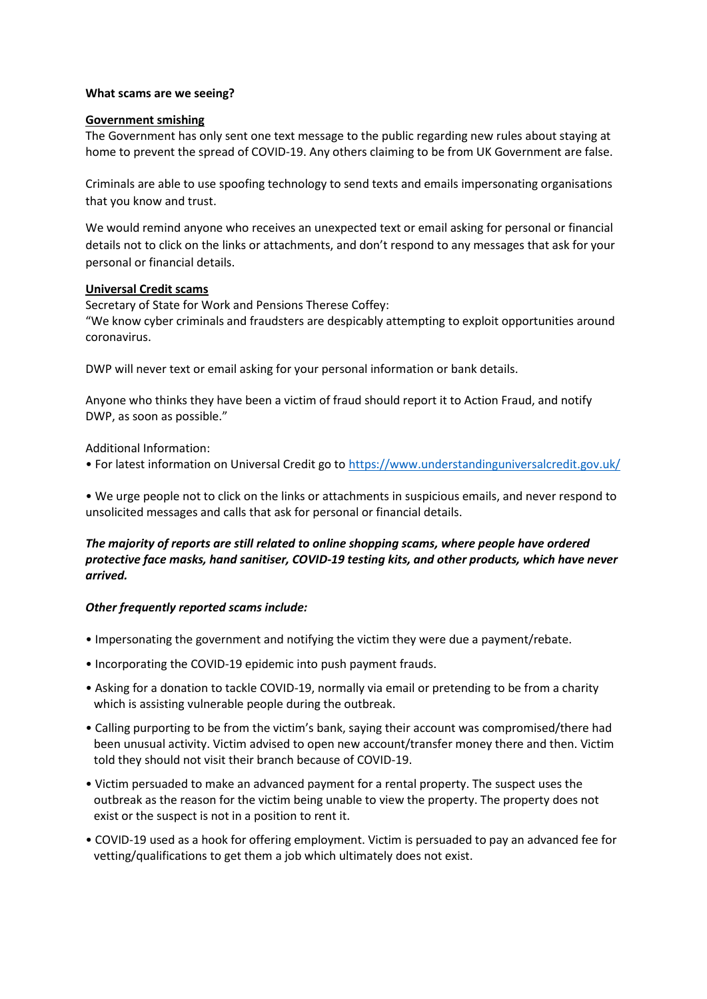### **What scams are we seeing?**

### **Government smishing**

The Government has only sent one text message to the public regarding new rules about staying at home to prevent the spread of COVID-19. Any others claiming to be from UK Government are false.

Criminals are able to use spoofing technology to send texts and emails impersonating organisations that you know and trust.

We would remind anyone who receives an unexpected text or email asking for personal or financial details not to click on the links or attachments, and don't respond to any messages that ask for your personal or financial details.

#### **Universal Credit scams**

Secretary of State for Work and Pensions Therese Coffey: "We know cyber criminals and fraudsters are despicably attempting to exploit opportunities around coronavirus.

DWP will never text or email asking for your personal information or bank details.

Anyone who thinks they have been a victim of fraud should report it to Action Fraud, and notify DWP, as soon as possible."

Additional Information:

• For latest information on Universal Credit go to <https://www.understandinguniversalcredit.gov.uk/>

• We urge people not to click on the links or attachments in suspicious emails, and never respond to unsolicited messages and calls that ask for personal or financial details.

# *The majority of reports are still related to online shopping scams, where people have ordered protective face masks, hand sanitiser, COVID-19 testing kits, and other products, which have never arrived.*

## *Other frequently reported scams include:*

- Impersonating the government and notifying the victim they were due a payment/rebate.
- Incorporating the COVID-19 epidemic into push payment frauds.
- Asking for a donation to tackle COVID-19, normally via email or pretending to be from a charity which is assisting vulnerable people during the outbreak.
- Calling purporting to be from the victim's bank, saying their account was compromised/there had been unusual activity. Victim advised to open new account/transfer money there and then. Victim told they should not visit their branch because of COVID-19.
- Victim persuaded to make an advanced payment for a rental property. The suspect uses the outbreak as the reason for the victim being unable to view the property. The property does not exist or the suspect is not in a position to rent it.
- COVID-19 used as a hook for offering employment. Victim is persuaded to pay an advanced fee for vetting/qualifications to get them a job which ultimately does not exist.